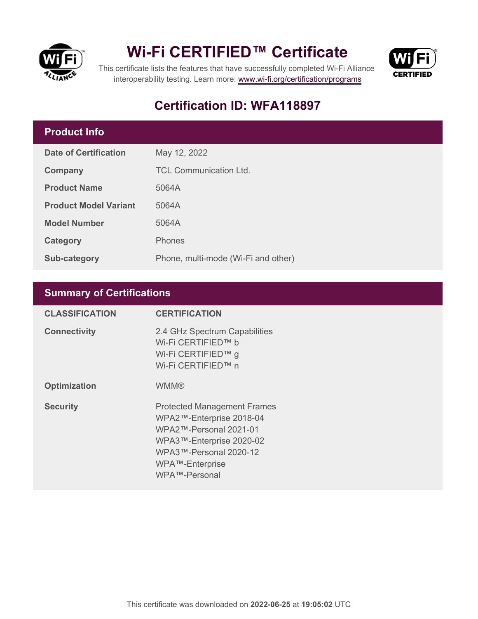

## **Wi-Fi CERTIFIED™ Certificate**



This certificate lists the features that have successfully completed Wi-Fi Alliance interoperability testing. Learn more:<www.wi-fi.org/certification/programs>

### **Certification ID: WFA118897**

#### **Product Info**

| <b>Date of Certification</b> | May 12, 2022                        |
|------------------------------|-------------------------------------|
| Company                      | TCL Communication Ltd.              |
| <b>Product Name</b>          | 5064A                               |
| <b>Product Model Variant</b> | 5064A                               |
| <b>Model Number</b>          | 5064A                               |
| Category                     | <b>Phones</b>                       |
| Sub-category                 | Phone, multi-mode (Wi-Fi and other) |

#### **Summary of Certifications**

| <b>CLASSIFICATION</b> | <b>CERTIFICATION</b>                                                                                                                                                               |
|-----------------------|------------------------------------------------------------------------------------------------------------------------------------------------------------------------------------|
| <b>Connectivity</b>   | 2.4 GHz Spectrum Capabilities<br>Wi-Fi CERTIFIED™ b<br>Wi-Fi CERTIFIED™ g<br>Wi-Fi CERTIFIED™ n                                                                                    |
| <b>Optimization</b>   | <b>WMM®</b>                                                                                                                                                                        |
| <b>Security</b>       | <b>Protected Management Frames</b><br>WPA2™-Enterprise 2018-04<br>WPA2™-Personal 2021-01<br>WPA3™-Enterprise 2020-02<br>WPA3™-Personal 2020-12<br>WPA™-Enterprise<br>WPA™-Personal |